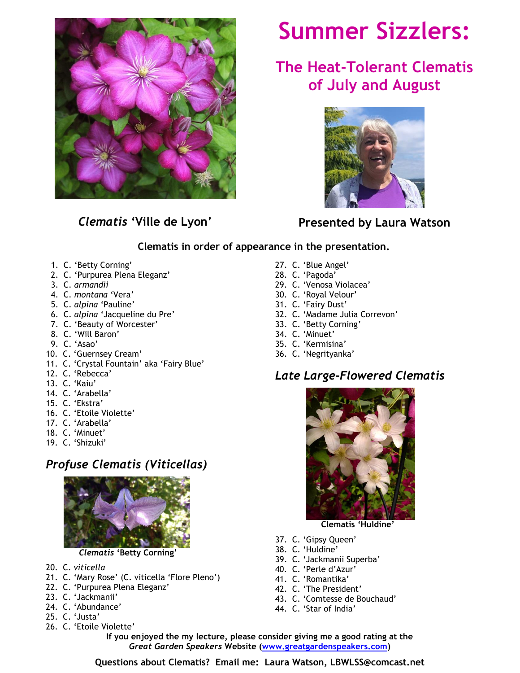

# **Summer Sizzlers:**

## **The Heat-Tolerant Clematis of July and August**



*Clematis* **'Ville de Lyon'**

### **Presented by Laura Watson**

#### **Clematis in order of appearance in the presentation.**

- 1. C. 'Betty Corning'
- 2. C. 'Purpurea Plena Eleganz'
- 3. C. *armandii*
- 4. C. *montana* 'Vera'
- 5. C. *alpina* 'Pauline'
- 6. C. *alpina* 'Jacqueline du Pre'
- 7. C. 'Beauty of Worcester'
- 8. C. 'Will Baron'
- 9. C. 'Asao'
- 10. C. 'Guernsey Cream'
- 11. C. 'Crystal Fountain' aka 'Fairy Blue'
- 12. C. 'Rebecca'
- 13. C. 'Kaiu'
- 14. C. 'Arabella'
- 15. C. 'Ekstra'
- 16. C. 'Etoile Violette'
- 17. C. 'Arabella'
- 18. C. 'Minuet'
- 19. C. 'Shizuki'

### *Profuse Clematis (Viticellas)*



 *Clematis* **'Betty Corning'**

- 20. C. *viticella*
- 21. C. 'Mary Rose' (C. viticella 'Flore Pleno')
- 22. C. 'Purpurea Plena Eleganz'
- 23. C. 'Jackmanii'
- 24. C. 'Abundance'
- 25. C. 'Justa'
- 26. C. 'Etoile Violette'
- 27. C. 'Blue Angel'
- 28. C. 'Pagoda'
- 29. C. 'Venosa Violacea'
- 30. C. 'Royal Velour'
- 31. C. 'Fairy Dust'
- 32. C. 'Madame Julia Correvon'
- 33. C. 'Betty Corning'
- 34. C. 'Minuet'
- 35. C. 'Kermisina'
- 36. C. 'Negrityanka'

### *Late Large-Flowered Clematis*



 **Clematis 'Huldine'**

- 37. C. 'Gipsy Queen'
- 38. C. 'Huldine'
- 39. C. 'Jackmanii Superba'
- 40. C. 'Perle d'Azur'
- 41. C. 'Romantika'
- 42. C. 'The President'
- 43. C. 'Comtesse de Bouchaud'
- 44. C. 'Star of India'

**If you enjoyed the my lecture, please consider giving me a good rating at the** *Great Garden Speakers* **Website (www.greatgardenspeakers.com)**

**Questions about Clematis? Email me: Laura Watson, LBWLSS@comcast.net**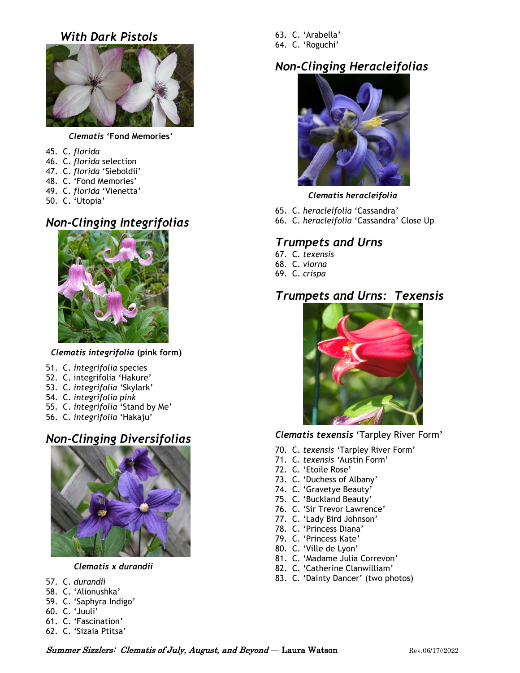### *With Dark Pistols*



#### *Clematis* **'Fond Memories'**

- 45. C. *florida*
- 46. C. *florida* selection
- 47. C. *florida* 'Sieboldii'
- 48. C. 'Fond Memories'
- 49. C. *florida* 'Vienetta'
- 50. C. 'Utopia'

### *Non-Clinging Integrifolias*



#### *Clematis integrifolia* **(pink form)**

- 51. C. *integrifolia* species
- 52. C. integrifolia 'Hakure'
- 53. C. *integrifolia* 'Skylark'
- 54. C. *integrifolia pink*
- 55. C. *integrifolia* 'Stand by Me'
- 56. C. *integrifolia* 'Hakaju'

### *Non-Clinging Diversifolias*



 *Clematis x durandii*

- 57. C. *durandii*
- 58. C. 'Alionushka'
- 59. C. 'Saphyra Indigo'
- 60. C. 'Juuli'
- 
- 61. C. 'Fascination'
- 62. C. 'Sizaia Ptitsa'
- 63. C. 'Arabella'
- 64. C. 'Roguchi'

### *Non-Clinging Heracleifolias*



 *Clematis heracleifolia*

- 65. C. *heracleifolia* 'Cassandra'
- 66. C. *heracleifolia* 'Cassandra' Close Up

### *Trumpets and Urns*

- 67. C. *texensis*
- 68. C. *viorna*
- 69. C. *crispa*

### *Trumpets and Urns: Texensis*



#### *Clematis texensis* 'Tarpley River Form'

- 70. C. *texensis '*Tarpley River Form'
- 71. C. *texensis '*Austin Form'
- 72. C. 'Etoile Rose'
- 73. C. 'Duchess of Albany'
- 74. C. 'Gravetye Beauty'
- 75. C. 'Buckland Beauty'
- 76. C. 'Sir Trevor Lawrence'
- 77. C. 'Lady Bird Johnson'
- 78. C. 'Princess Diana'
- 79. C. 'Princess Kate'
- 80. C. 'Ville de Lyon'
- 81. C. 'Madame Julia Correvon'
- 82. C. 'Catherine Clanwilliam'
- 83. C. 'Dainty Dancer' (two photos)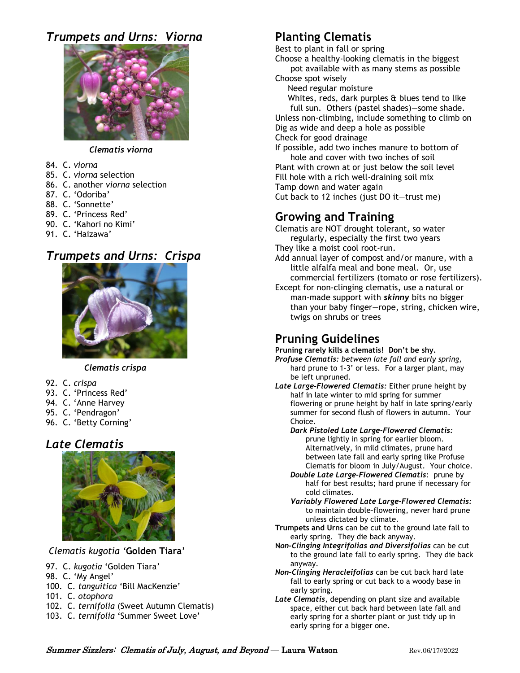### *Trumpets and Urns: Viorna*



#### *Clematis viorna*

- 84. C. *viorna*
- 85. C. *viorna* selection
- 86. C. another *viorna* selection
- 87. C. 'Odoriba'
- 88. C. 'Sonnette'
- 89. C. 'Princess Red'
- 90. C. 'Kahori no Kimi'
- 91. C. 'Haizawa'

### *Trumpets and Urns: Crispa*



#### *Clematis crispa*

- 92. C. *crispa*
- 93. C. 'Princess Red'
- 94. C. 'Anne Harvey
- 95. C. 'Pendragon'
- 96. C. 'Betty Corning'

### *Late Clematis*



#### *Clematis kugotia '***Golden Tiara'**

- 97. C. *kugotia* 'Golden Tiara'
- 98. C. 'My Angel'
- 100. C. *tanguitica* 'Bill MacKenzie'
- 101. C. *otophora*
- 102. C. *ternifolia* (Sweet Autumn Clematis)
- 103. C. *ternifolia* 'Summer Sweet Love'

### **Planting Clematis**

Best to plant in fall or spring

Choose a healthy-looking clematis in the biggest pot available with as many stems as possible

Choose spot wisely

Need regular moisture

 Whites, reds, dark purples & blues tend to like full sun. Others (pastel shades)—some shade. Unless non-climbing, include something to climb on Dig as wide and deep a hole as possible Check for good drainage

If possible, add two inches manure to bottom of hole and cover with two inches of soil

Plant with crown at or just below the soil level Fill hole with a rich well-draining soil mix Tamp down and water again Cut back to 12 inches (just DO it—trust me)

### **Growing and Training**

Clematis are NOT drought tolerant, so water regularly, especially the first two years

They like a moist cool root-run.

- Add annual layer of compost and/or manure, with a little alfalfa meal and bone meal. Or, use commercial fertilizers (tomato or rose fertilizers).
- Except for non-clinging clematis, use a natural or man-made support with *skinny* bits no bigger than your baby finger—rope, string, chicken wire, twigs on shrubs or trees

### **Pruning Guidelines**

**Pruning rarely kills a clematis! Don't be shy.**

- *Profuse Clematis: between late fall and early spring,*  hard prune to 1-3' or less. For a larger plant, may be left unpruned.
- *Late Large-Flowered Clematis:* Either prune height by half in late winter to mid spring for summer flowering or prune height by half in late spring/early summer for second flush of flowers in autumn. Your Choice.

*Dark Pistoled Late Large-Flowered Clematis:*  prune lightly in spring for earlier bloom. Alternatively, in mild climates, prune hard between late fall and early spring like Profuse Clematis for bloom in July/August. Your choice.

*Double Late Large-Flowered Clematis*: prune by half for best results; hard prune if necessary for cold climates.

*Variably Flowered Late Large-Flowered Clematis:* to maintain double-flowering, never hard prune unless dictated by climate.

- **Trumpets and Urns** can be cut to the ground late fall to early spring. They die back anyway.
- **N***on-Clinging Integrifolias and Diversifolias* can be cut to the ground late fall to early spring. They die back anyway.
- *Non-Clinging Heracleifolias* can be cut back hard late fall to early spring or cut back to a woody base in early spring.

*Late Clematis*, depending on plant size and available space, either cut back hard between late fall and early spring for a shorter plant or just tidy up in early spring for a bigger one.